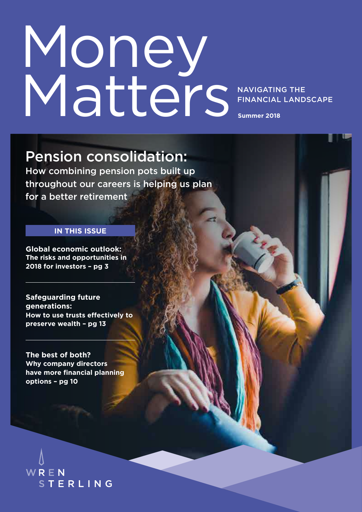# Money Matters

NAVIGATING THE FINANCIAL LANDSCAPE

**Summer 2018**

### Pension consolidation:

How combining pension pots built up throughout our careers is helping us plan for a better retirement

#### **IN THIS ISSUE**

**Global economic outlook: The risks and opportunities in 2018 for investors – pg 3**

**Safeguarding future generations: How to use trusts effectively to preserve wealth – pg 13**

**The best of both? Why company directors have more financial planning options – pg 10**

WREN STERLING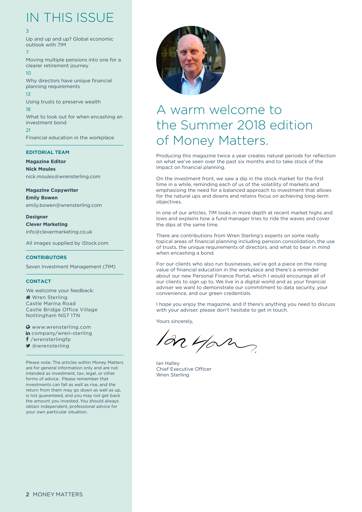## IN THIS ISSUE

#### 3

Up and up and up? Global economic outlook with 7IM 7

Moving multiple pensions into one for a clearer retirement journey  $1<sub>0</sub>$ 

Why directors have unique financial planning requirements 13

Using trusts to preserve wealth 18 What to look out for when encashing an investment bond  $21$ Financial education in the workplace

#### **EDITORIAL TEAM**

**Magazine Editor Nick Moules** nick.moules@wrensterling.com

**Magazine Copywriter Emily Bowen** emily.bowen@wrensterling.com

**Designer Clever Marketing** info@clevermarketing.co.uk

All images supplied by iStock.com

#### **CONTRIBUTORS**

Seven Investment Management (7IM)

#### **CONTACT**

We welcome your feedback: **Wren Sterling** Castle Marina Road Castle Bridge Office Village Nottingham NG7 1TN

 www.wrensterling.com in company/wren-sterling f /wrensterlingfp ■ @wrensterling

Please note: The articles within Money Matters are for general information only and are not intended as investment, tax, legal, or other forms of advice. Please remember that investments can fall as well as rise, and the return from them may go down as well as up, is not guaranteed, and you may not get back the amount you invested. You should always obtain independent, professional advice for your own particular situation.



### A warm welcome to the Summer 2018 edition of Money Matters.

Producing this magazine twice a year creates natural periods for reflection on what we've seen over the past six months and to take stock of the impact on financial planning.

On the investment front, we saw a dip in the stock market for the first time in a while, reminding each of us of the volatility of markets and emphasising the need for a balanced approach to investment that allows for the natural ups and downs and retains focus on achieving long-term objectives.

In one of our articles, 7IM looks in more depth at recent market highs and lows and explains how a fund manager tries to ride the waves and cover the dips at the same time.

There are contributions from Wren Sterling's experts on some really topical areas of financial planning including pension consolidation, the use of trusts, the unique requirements of directors, and what to bear in mind when encashing a bond.

For our clients who also run businesses, we've got a piece on the rising value of financial education in the workplace and there's a reminder about our new Personal Finance Portal, which I would encourage all of our clients to sign up to. We live in a digital world and as your financial adviser we want to demonstrate our commitment to data security, your convenience, and our green credentials.

I hope you enjoy the magazine, and if there's anything you need to discuss with your adviser, please don't hesitate to get in touch.

Yours sincerely,

an you

Ian Halley Chief Executive Officer Wren Sterling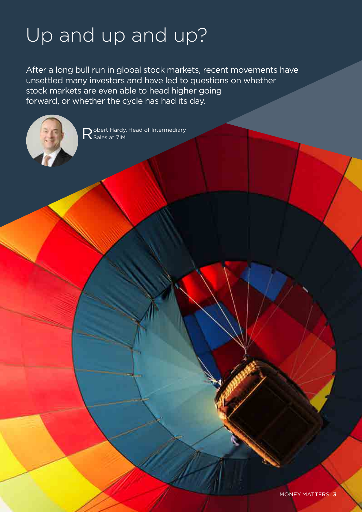# Up and up and up?

After a long bull run in global stock markets, recent movements have unsettled many investors and have led to questions on whether stock markets are even able to head higher going forward, or whether the cycle has had its day.



Robert Hardy, Head of Intermediary<br>Reales at 7IM Sales at 7IM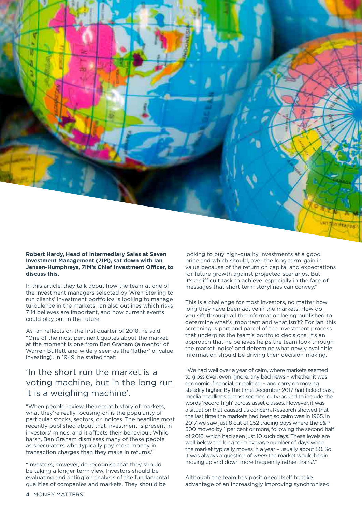**Robert Hardy, Head of Intermediary Sales at Seven Investment Management (7IM), sat down with Ian Jensen-Humphreys, 7IM's Chief Investment Officer, to discuss this.**

In this article, they talk about how the team at one of the investment managers selected by Wren Sterling to run clients' investment portfolios is looking to manage turbulence in the markets. Ian also outlines which risks 7IM believes are important, and how current events could play out in the future.

As Ian reflects on the first quarter of 2018, he said "One of the most pertinent quotes about the market at the moment is one from Ben Graham (a mentor of Warren Buffett and widely seen as the 'father' of value investing). In 1949, he stated that:

#### 'In the short run the market is a voting machine, but in the long run it is a weighing machine'.

"When people review the recent history of markets, what they're really focusing on is the popularity of particular stocks, sectors, or indices. The headline most recently published about that investment is present in investors' minds, and it affects their behaviour. While harsh, Ben Graham dismisses many of these people as speculators who typically pay more money in transaction charges than they make in returns."

"Investors, however, do recognise that they should be taking a longer term view. Investors should be evaluating and acting on analysis of the fundamental qualities of companies and markets. They should be

looking to buy high-quality investments at a good price and which should, over the long term, gain in value because of the return on capital and expectations for future growth against projected scenarios. But it's a difficult task to achieve, especially in the face of messages that short term storylines can convey."

This is a challenge for most investors, no matter how long they have been active in the markets. How do you sift through all the information being published to determine what's important and what isn't? For Ian, this screening is part and parcel of the investment process that underpins the team's portfolio decisions. It's an approach that he believes helps the team look through the market 'noise' and determine what newly available information should be driving their decision-making.

"We had well over a year of calm, where markets seemed to gloss over, even ignore, any bad news – whether it was economic, financial, or political – and carry on moving steadily higher. By the time December 2017 had ticked past, media headlines almost seemed duty-bound to include the words 'record high' across asset classes. However, it was a situation that caused us concern. Research showed that the last time the markets had been so calm was in 1965. In 2017, we saw just 8 out of 252 trading days where the S&P 500 moved by 1 per cent or more, following the second half of 2016, which had seen just 10 such days. These levels are well below the long term average number of days when the market typically moves in a year – usually about 50. So it was always a question of *when* the market would begin moving up and down more frequently rather than *if*."

Although the team has positioned itself to take advantage of an increasingly improving synchronised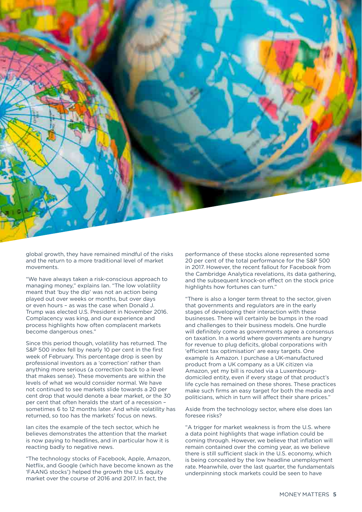

global growth, they have remained mindful of the risks and the return to a more traditional level of market movements.

"We have always taken a risk-conscious approach to managing money," explains Ian. "The low volatility meant that 'buy the dip' was not an action being played out over weeks or months, but over days or even hours – as was the case when Donald J. Trump was elected U.S. President in November 2016. Complacency was king, and our experience and process highlights how often complacent markets become dangerous ones."

Since this period though, volatility has returned. The S&P 500 index fell by nearly 10 per cent in the first week of February. This percentage drop is seen by professional investors as a 'correction' rather than anything more serious (a correction back to a level that makes sense). These movements are within the levels of what we would consider normal. We have not continued to see markets slide towards a 20 per cent drop that would denote a bear market, or the 30 per cent that often heralds the start of a recession – sometimes 6 to 12 months later. And while volatility has returned, so too has the markets' focus on news.

Ian cites the example of the tech sector, which he believes demonstrates the attention that the market is now paying to headlines, and in particular how it is reacting badly to negative news.

"The technology stocks of Facebook, Apple, Amazon, Netflix, and Google (which have become known as the 'FAANG stocks') helped the growth the U.S. equity market over the course of 2016 and 2017. In fact, the

performance of these stocks alone represented some 20 per cent of the total performance for the S&P 500 in 2017. However, the recent fallout for Facebook from the Cambridge Analytica revelations, its data gathering, and the subsequent knock-on effect on the stock price highlights how fortunes can turn."

"There is also a longer term threat to the sector, given that governments and regulators are in the early stages of developing their interaction with these businesses. There will certainly be bumps in the road and challenges to their business models. One hurdle will definitely come as governments agree a consensus on taxation. In a world where governments are hungry for revenue to plug deficits, global corporations with 'efficient tax optimisation' are easy targets. One example is Amazon. I purchase a UK-manufactured product from a UK company as a UK citizen via Amazon, yet my bill is routed via a Luxembourgdomiciled entity, even if every stage of that product's life cycle has remained on these shores. These practices make such firms an easy target for both the media and politicians, which in turn will affect their share prices."

Aside from the technology sector, where else does Ian foresee risks?

"A trigger for market weakness is from the U.S. where a data point highlights that wage inflation could be coming through. However, we believe that inflation will remain contained over the coming year, as we believe there is still sufficient slack in the U.S. economy, which is being concealed by the low headline unemployment rate. Meanwhile, over the last quarter, the fundamentals underpinning stock markets could be seen to have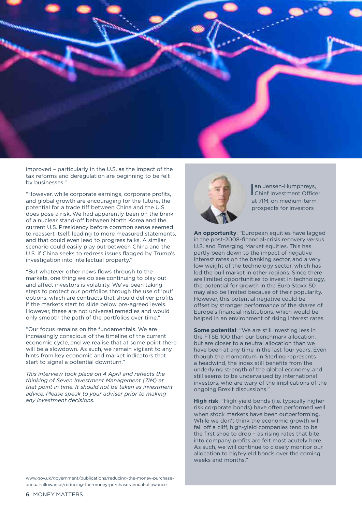

improved – particularly in the U.S. as the impact of the tax reforms and deregulation are beginning to be felt by businesses."

"However, while corporate earnings, corporate profits, and global growth are encouraging for the future, the potential for a trade tiff between China and the U.S. does pose a risk. We had apparently been on the brink of a nuclear stand-off between North Korea and the current U.S. Presidency before common sense seemed to reassert itself, leading to more measured statements, and that could even lead to progress talks. A similar scenario could easily play out between China and the U.S. if China seeks to redress issues flagged by Trump's investigation into intellectual property."

"But whatever other news flows through to the markets, one thing we do see continuing to play out and affect investors is volatility. We've been taking steps to protect our portfolios through the use of 'put' options, which are contracts that should deliver profits if the markets start to slide below pre-agreed levels. However, these are not universal remedies and would only smooth the path of the portfolios over time."

"Our focus remains on the fundamentals. We are increasingly conscious of the timeline of the current economic cycle, and we realise that at some point there will be a slowdown. As such, we remain vigilant to any hints from key economic and market indicators that start to signal a potential downturn."

*This interview took place on 4 April and reflects the thinking of Seven Investment Management (7IM) at that point in time. It should not be taken as investment advice. Please speak to your adviser prior to making any investment decisions.*

www.gov.uk/government/publications/reducing-the-money-purchaseannual-allowance/reducing-the-money-purchase-annual-allowance



an Jensen-Humphreys,<br>Chief Investment Officer an Jensen-Humphreys, at 7IM, on medium-term prospects for investors

**An opportunity**: "European equities have lagged in the post-2008-financial-crisis recovery versus U.S. and Emerging Market equities. This has partly been down to the impact of negative interest rates on the banking sector, and a very low weight of the technology sector, which has led the bull market in other regions. Since there are limited opportunities to invest in technology, the potential for growth in the Euro Stoxx 50 may also be limited because of their popularity. However, this potential negative could be offset by stronger performance of the shares of Europe's financial institutions, which would be helped in an environment of rising interest rates.

**Some potential**: "We are still investing less in the FTSE 100 than our benchmark allocation, but are closer to a neutral allocation than we have been at any time in the last four years. Even though the momentum in Sterling represents a headwind, the index still benefits from the underlying strength of the global economy, and still seems to be undervalued by international investors, who are wary of the implications of the ongoing Brexit discussions."

**High risk**: "High-yield bonds (i.e. typically higher risk corporate bonds) have often performed well when stock markets have been outperforming. While we don't think the economic growth will fall off a cliff, high-yield companies tend to be the first shoe to drop – as rising rates that bite into company profits are felt most acutely here. As such, we will continue to closely monitor our allocation to high-yield bonds over the coming weeks and months."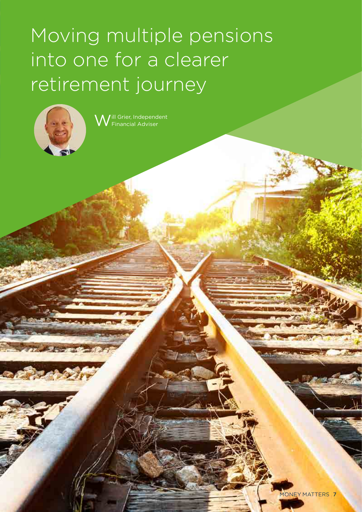# Moving multiple pensions into one for a clearer retirement journey



Will Grier, Independent Financial Adviser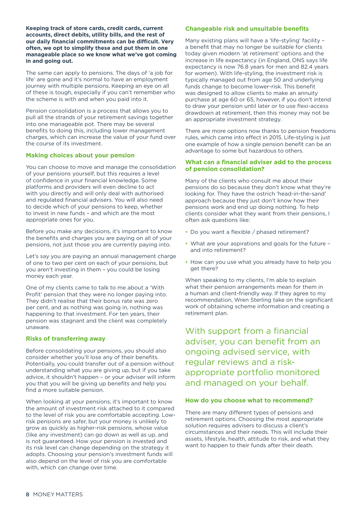**Keeping track of store cards, credit cards, current accounts, direct debits, utility bills, and the rest of our daily financial commitments can be difficult. Very often, we opt to simplify these and put them in one manageable place so we know what we've got coming in and going out.**

The same can apply to pensions. The days of 'a job for life' are gone and it's normal to have an employment journey with multiple pensions. Keeping an eye on all of these is tough, especially if you can't remember who the scheme is with and when you paid into it.

Pension consolidation is a process that allows you to pull all the strands of your retirement savings together into one manageable pot. There may be several benefits to doing this, including lower management charges, which can increase the value of your fund over the course of its investment.

#### **Making choices about your pension**

You can choose to move and manage the consolidation of your pensions yourself, but this requires a level of confidence in your financial knowledge. Some platforms and providers will even decline to act with you directly and will only deal with authorised and regulated financial advisers. You will also need to decide which of your pensions to keep, whether to invest in new funds – and which are the most appropriate ones for you.

Before you make any decisions, it's important to know the benefits and charges you are paying on all of your pensions, not just those you are currently paying into.

Let's say you are paying an annual management charge of one to two per cent on each of your pensions, but you aren't investing in them – you could be losing money each year.

One of my clients came to talk to me about a 'With Profit' pension that they were no longer paying into. They didn't realise that their bonus rate was zero per cent, and as nothing was going in, nothing was happening to that investment. For ten years, their pension was stagnant and the client was completely unaware.

#### **Risks of transferring away**

Before consolidating your pensions, you should also consider whether you'll lose any of their benefits. Potentially, you could transfer out of a pension without understanding what you are giving up, but if you take advice, it shouldn't happen – or your adviser will inform you that you will be giving up benefits and help you find a more suitable pension.

When looking at your pensions, it's important to know the amount of investment risk attached to it compared to the level of risk you are comfortable accepting. Lowrisk pensions are safer, but your money is unlikely to grow as quickly as higher-risk pensions, whose value (like any investment) can go down as well as up, and is not guaranteed. How your pension is invested and its risk level can change depending on the strategy it adopts. Choosing your pension's investment funds will also depend on the level of risk you are comfortable with, which can change over time.

#### **Changeable risk and unsuitable benefits**

Many existing plans will have a 'life-styling' facility a benefit that may no longer be suitable for clients today given modern 'at retirement' options and the increase in life expectancy (in England, ONS says life expectancy is now 76.8 years for men and 82.4 years for women). With life-styling, the investment risk is typically managed out from age 50 and underlying funds change to become lower-risk. This benefit was designed to allow clients to make an annuity purchase at age 60 or 65, however, if you don't intend to draw your pension until later or to use flexi-access drawdown at retirement, then this money may not be an appropriate investment strategy.

There are more options now thanks to pension freedoms rules, which came into effect in 2015. Life-styling is just one example of how a single pension benefit can be an advantage to some but hazardous to others.

#### **What can a financial adviser add to the process of pension consolidation?**

Many of the clients who consult me about their pensions do so because they don't know what they're looking for. They have the ostrich 'head-in-the-sand' approach because they just don't know how their pensions work and end up doing nothing. To help clients consider what they want from their pensions, I often ask questions like:

- Do you want a flexible / phased retirement?
- What are your aspirations and goals for the future and into retirement?
- How can you use what you already have to help you get there?

When speaking to my clients, I'm able to explain what their pension arrangements mean for them in a human and client-friendly way. If they agree to my recommendation, Wren Sterling take on the significant work of obtaining scheme information and creating a retirement plan.

With support from a financial adviser, you can benefit from an ongoing advised service, with regular reviews and a riskappropriate portfolio monitored and managed on your behalf.

#### **How do you choose what to recommend?**

There are many different types of pensions and retirement options. Choosing the most appropriate solution requires advisers to discuss a client's circumstances and their needs. This will include their assets, lifestyle, health, attitude to risk, and what they want to happen to their funds after their death.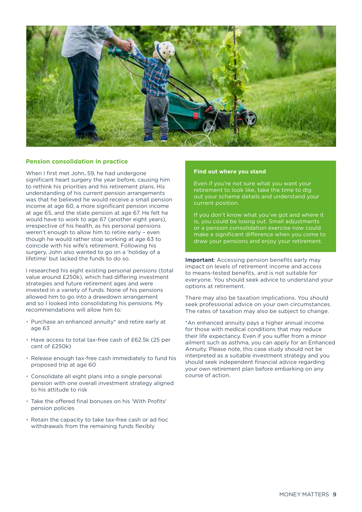

#### **Pension consolidation in practice**

When I first met John, 59, he had undergone significant heart surgery the year before, causing him to rethink his priorities and his retirement plans. His understanding of his current pension arrangements was that he believed he would receive a small pension income at age 60, a more significant pension income at age 65, and the state pension at age 67. He felt he would have to work to age 67 (another eight years), irrespective of his health, as his personal pensions weren't enough to allow him to retire early – even though he would rather stop working at age 63 to coincide with his wife's retirement. Following his surgery, John also wanted to go on a 'holiday of a lifetime' but lacked the funds to do so.

I researched his eight existing personal pensions (total value around £250k), which had differing investment strategies and future retirement ages and were invested in a variety of funds. None of his pensions allowed him to go into a drawdown arrangement and so I looked into consolidating his pensions. My recommendations will allow him to:

- Purchase an enhanced annuity\* and retire early at age 63
- Have access to total tax-free cash of £62.5k (25 per cent of £250k)
- Release enough tax-free cash immediately to fund his proposed trip at age 60
- Consolidate all eight plans into a single personal pension with one overall investment strategy aligned to his attitude to risk
- Take the offered final bonuses on his 'With Profits' pension policies
- Retain the capacity to take tax-free cash or ad hoc withdrawals from the remaining funds flexibly

#### **Find out where you stand**

Even if you're not sure what you want your retirement to look like, take the time to dig out your scheme details and understand your current position.

If you don't know what you've got and where it is, you could be losing out. Small adjustments or a pension consolidation exercise now could make a significant difference when you come to draw your pensions and enjoy your retirement.

**Important:** Accessing pension benefits early may impact on levels of retirement income and access to means-tested benefits, and is not suitable for everyone. You should seek advice to understand your options at retirement.

There may also be taxation implications. You should seek professional advice on your own circumstances. The rates of taxation may also be subject to change.

\*An enhanced annuity pays a higher annual income for those with medical conditions that may reduce their life expectancy. Even if you suffer from a minor ailment such as asthma, you can apply for an Enhanced Annuity. Please note, this case study should not be interpreted as a suitable investment strategy and you should seek independent financial advice regarding your own retirement plan before embarking on any course of action.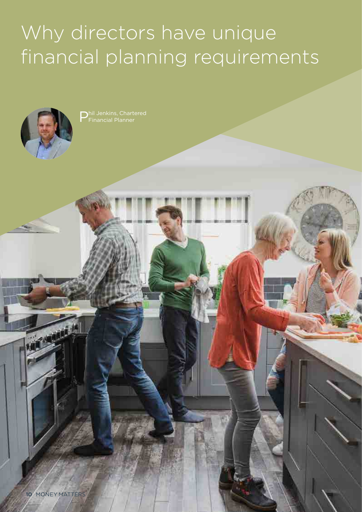# Why directors have unique financial planning requirements



P hil Jenkins, Chartered Financial Planner

aű.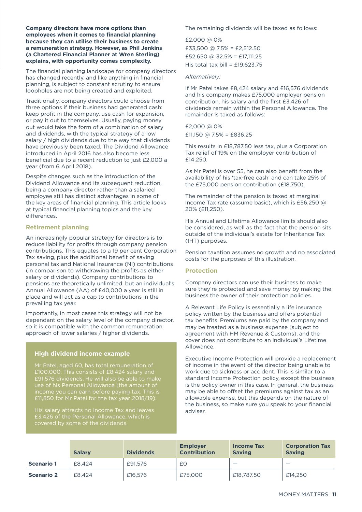**Company directors have more options than employees when it comes to financial planning because they can utilise their business to create a remuneration strategy. However, as Phil Jenkins (a Chartered Financial Planner at Wren Sterling) explains, with opportunity comes complexity.**

The financial planning landscape for company directors has changed recently, and like anything in financial planning, is subject to constant scrutiny to ensure loopholes are not being created and exploited.

Traditionally, company directors could choose from three options if their business had generated cash: keep profit in the company, use cash for expansion, or pay it out to themselves. Usually, paying money out would take the form of a combination of salary and dividends, with the typical strategy of a low salary / high dividends due to the way that dividends have previously been taxed. The Dividend Allowance introduced in April 2016 has also become less beneficial due to a recent reduction to just £2,000 a year (from 6 April 2018).

Despite changes such as the introduction of the Dividend Allowance and its subsequent reduction, being a company director rather than a salaried employee still has distinct advantages in some of the key areas of financial planning. This article looks at typical financial planning topics and the key differences.

#### **Retirement planning**

An increasingly popular strategy for directors is to reduce liability for profits through company pension contributions. This equates to a 19 per cent Corporation Tax saving, plus the additional benefit of saving personal tax and National Insurance (NI) contributions (in comparison to withdrawing the profits as either salary or dividends). Company contributions to pensions are theoretically unlimited, but an individual's Annual Allowance (AA) of £40,000 a year is still in place and will act as a cap to contributions in the prevailing tax year.

Importantly, in most cases this strategy will not be dependant on the salary level of the company director, so it is compatible with the common remuneration approach of lower salaries / higher dividends.

#### **High dividend income example**

Mr Patel, aged 60, has total remuneration of £100,000. This consists of £8,424 salary and £91,576 dividends. He will also be able to make use of his Personal Allowance (the amount of income you can earn before paying tax. This is £11,850 for Mr Patel for the tax year 2018/19).

The remaining dividends will be taxed as follows:

£2,000 @ 0%  $£33,500$  @  $7.5% = £2,512,50$ £52,650 @ 32.5% = £17,111.25 His total tax bill =  $£19.623.75$ 

#### *Alternatively:*

If Mr Patel takes £8,424 salary and £16,576 dividends and his company makes £75,000 employer pension contribution, his salary and the first £3,426 of dividends remain within the Personal Allowance. The remainder is taxed as follows:

#### £2,000 @ 0% £11,150 @ 7.5% = £836.25

This results in £18,787.50 less tax, plus a Corporation Tax relief of 19% on the employer contribution of £14,250.

As Mr Patel is over 55, he can also benefit from the availability of his 'tax-free cash' and can take 25% of the £75,000 pension contribution (£18,750).

The remainder of the pension is taxed at marginal Income Tax rate (assume basic), which is £56,250 @ 20% (£11,250).

His Annual and Lifetime Allowance limits should also be considered, as well as the fact that the pension sits outside of the individual's estate for Inheritance Tax (IHT) purposes.

Pension taxation assumes no growth and no associated costs for the purposes of this illustration.

#### **Protection**

Company directors can use their business to make sure they're protected and save money by making the business the owner of their protection policies.

A Relevant Life Policy is essentially a life insurance policy written by the business and offers potential tax benefits. Premiums are paid by the company and may be treated as a business expense (subject to agreement with HM Revenue & Customs), and the cover does not contribute to an individual's Lifetime Allowance.

Executive Income Protection will provide a replacement of income in the event of the director being unable to work due to sickness or accident. This is similar to a standard Income Protection policy, except the business is the policy owner in this case. In general, the business may be able to offset the premiums against tax as an allowable expense, but this depends on the nature of the business, so make sure you speak to your financial adviser.

|                   | <b>Salarv</b> | <b>Dividends</b> | <b>Employer</b><br><b>Contribution</b> | <b>Income Tax</b><br><b>Saving</b> | <b>Corporation Tax</b><br><b>Saving</b> |
|-------------------|---------------|------------------|----------------------------------------|------------------------------------|-----------------------------------------|
| <b>Scenario 1</b> | £8.424        | £91.576          | £Ο                                     | $\overline{\phantom{a}}$           |                                         |
| <b>Scenario 2</b> | £8,424        | £16,576          | £75,000                                | £18,787.50                         | £14,250                                 |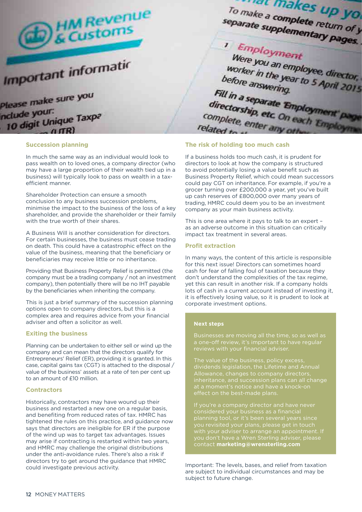

#### **Succession planning**

In much the same way as an individual would look to pass wealth on to loved ones, a company director (who may have a large proportion of their wealth tied up in a business) will typically look to pass on wealth in a taxefficient manner.

Shareholder Protection can ensure a smooth conclusion to any business succession problems, minimise the impact to the business of the loss of a key shareholder, and provide the shareholder or their family with the true worth of their shares.

A Business Will is another consideration for directors. For certain businesses, the business must cease trading on death. This could have a catastrophic effect on the value of the business, meaning that the beneficiary or beneficiaries may receive little or no inheritance.

Providing that Business Property Relief is permitted (the company must be a trading company / not an investment company), then potentially there will be no IHT payable by the beneficiaries when inheriting the company.

This is just a brief summary of the succession planning options open to company directors, but this is a complex area and requires advice from your financial adviser and often a solicitor as well.

#### **Exiting the business**

Planning can be undertaken to either sell or wind up the company and can mean that the directors qualify for Entrepreneurs' Relief (ER), providing it is granted. In this case, capital gains tax (CGT) is attached to the disposal / value of the business' assets at a rate of ten per cent up to an amount of £10 million.

#### **Contractors**

Historically, contractors may have wound up their business and restarted a new one on a regular basis, and benefiting from reduced rates of tax. HMRC has tightened the rules on this practice, and guidance now says that directors are ineligible for ER if the purpose of the wind up was to target tax advantages. Issues may arise if contracting is restarted within two years, and HMRC may challenge the original distributions under the anti-avoidance rules. There's also a risk if directors try to get around the guidance that HMRC could investigate previous activity.

#### **The risk of holding too much cash**

If a business holds too much cash, it is prudent for directors to look at how the company is structured to avoid potentially losing a value benefit such as Business Property Relief, which could mean successors could pay CGT on inheritance. For example, if you're a grocer turning over £200,000 a year, yet you've built up cash reserves of £800,000 over many years of trading, HMRC could deem you to be an investment company as your main business activity.

This is one area where it pays to talk to an expert – as an adverse outcome in this situation can critically impact tax treatment in several areas.

#### **Profit extraction**

In many ways, the content of this article is responsible for this next issue! Directors can sometimes hoard cash for fear of falling foul of taxation because they don't understand the complexities of the tax regime, yet this can result in another risk. If a company holds lots of cash in a current account instead of investing it, it is effectively losing value, so it is prudent to look at corporate investment options.

#### **Next steps**

a one-off review, it's important to have regular

The value of the business, policy excess, dividends legislation, the Lifetime and Annual Allowance, changes to company directors, inheritance, and succession plans can all change

considered your business as a financial planning tool, or it's been several years since you revisited your plans, please get in touch with your adviser to arrange an appointment. If you don't have a Wren Sterling adviser, please contact **marketing@wrensterling.com**

Important: The levels, bases, and relief from taxation are subject to individual circumstances and may be subject to future change.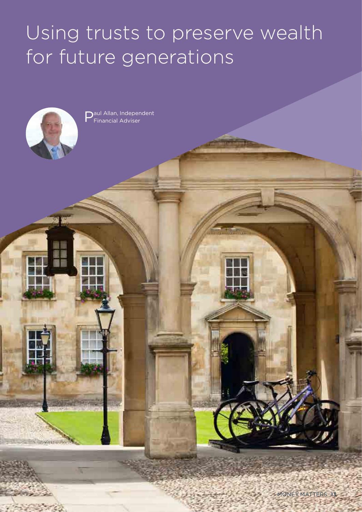# Using trusts to preserve wealth for future generations

**Thomas Control** 



Paul Allan, Independent<br>PFinancial Adviser Financial Adviser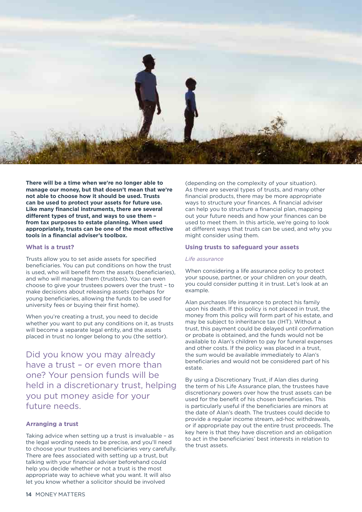

**There will be a time when we're no longer able to manage our money, but that doesn't mean that we're not able to choose how it should be used. Trusts can be used to protect your assets for future use. Like many financial instruments, there are several different types of trust, and ways to use them – from tax purposes to estate planning. When used appropriately, trusts can be one of the most effective tools in a financial adviser's toolbox.**

#### **What is a trust?**

Trusts allow you to set aside assets for specified beneficiaries. You can put conditions on how the trust is used, who will benefit from the assets (beneficiaries), and who will manage them (trustees). You can even choose to give your trustees powers over the trust – to make decisions about releasing assets (perhaps for young beneficiaries, allowing the funds to be used for university fees or buying their first home).

When you're creating a trust, you need to decide whether you want to put any conditions on it, as trusts will become a separate legal entity, and the assets placed in trust no longer belong to you (the settlor).

Did you know you may already have a trust – or even more than one? Your pension funds will be held in a discretionary trust, helping you put money aside for your future needs.

#### **Arranging a trust**

Taking advice when setting up a trust is invaluable – as the legal wording needs to be precise, and you'll need to choose your trustees and beneficiaries very carefully. There are fees associated with setting up a trust, but talking with your financial adviser beforehand could help you decide whether or not a trust is the most appropriate way to achieve what you want. It will also let you know whether a solicitor should be involved

(depending on the complexity of your situation). As there are several types of trusts, and many other financial products, there may be more appropriate ways to structure your finances. A financial adviser can help you to structure a financial plan, mapping out your future needs and how your finances can be used to meet them. In this article, we're going to look at different ways that trusts can be used, and why you might consider using them.

#### **Using trusts to safeguard your assets**

#### *Life assurance*

When considering a life assurance policy to protect your spouse, partner, or your children on your death, you could consider putting it in trust. Let's look at an example.

Alan purchases life insurance to protect his family upon his death. If this policy is not placed in trust, the money from this policy will form part of his estate, and may be subject to inheritance tax (IHT). Without a trust, this payment could be delayed until confirmation or probate is obtained, and the funds would not be available to Alan's children to pay for funeral expenses and other costs. If the policy was placed in a trust, the sum would be available immediately to Alan's beneficiaries and would not be considered part of his estate.

By using a Discretionary Trust, if Alan dies during the term of his Life Assurance plan, the trustees have discretionary powers over how the trust assets can be used for the benefit of his chosen beneficiaries. This is particularly useful if the beneficiaries are minors at the date of Alan's death. The trustees could decide to provide a regular income stream, ad-hoc withdrawals, or if appropriate pay out the entire trust proceeds. The key here is that they have discretion and an obligation to act in the beneficiaries' best interests in relation to the trust assets.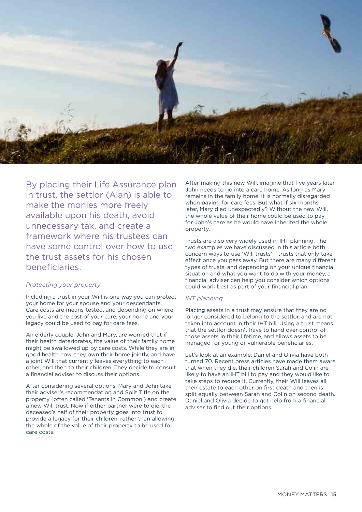

By placing their Life Assurance plan in trust, the settlor (Alan) is able to make the monies more freely available upon his death, avoid unnecessary tax, and create a framework where his trustees can have some control over how to use the trust assets for his chosen beneficiaries.

#### *Protecting your property*

Including a trust in your Will is one way you can protect your home for your spouse and your descendants. Care costs are means-tested, and depending on where you live and the cost of your care, your home and your legacy could be used to pay for care fees.

An elderly couple, John and Mary, are worried that if their health deteriorates, the value of their family home might be swallowed up by care costs. While they are in good health now, they own their home jointly, and have a joint Will that currently leaves everything to each other, and then to their children. They decide to consult a financial adviser to discuss their options.

After considering several options, Mary and John take their adviser's recommendation and Split Title on the property (often called 'Tenants in Common') and create a new Will trust. Now if either partner were to die, the deceased's half of their property goes into trust to provide a legacy for their children, rather than allowing the whole of the value of their property to be used for care costs.

After making this new Will, imagine that five years later John needs to go into a care home. As long as Mary remains in the family home, it is normally disregarded when paying for care fees. But what if six months later, Mary died unexpectedly? Without the new Will, the whole value of their home could be used to pay for John's care as he would have inherited the whole property.

Trusts are also very widely used in IHT planning. The two examples we have discussed in this article both concern ways to use 'Will trusts' – trusts that only take effect once you pass away. But there are many different types of trusts, and depending on your unique financial situation and what you want to do with your money, a financial adviser can help you consider which options could work best as part of your financial plan.

#### *IHT planning*

Placing assets in a trust may ensure that they are no longer considered to belong to the settlor, and are not taken into account in their IHT bill. Using a trust means that the settlor doesn't have to hand over control of those assets in their lifetime, and allows assets to be managed for young or vulnerable beneficiaries.

Let's look at an example. Daniel and Olivia have both turned 70. Recent press articles have made them aware that when they die, their children Sarah and Colin are likely to have an IHT bill to pay and they would like to take steps to reduce it. Currently, their Will leaves all their estate to each other on first death and then is split equally between Sarah and Colin on second death. Daniel and Olivia decide to get help from a financial adviser to find out their options.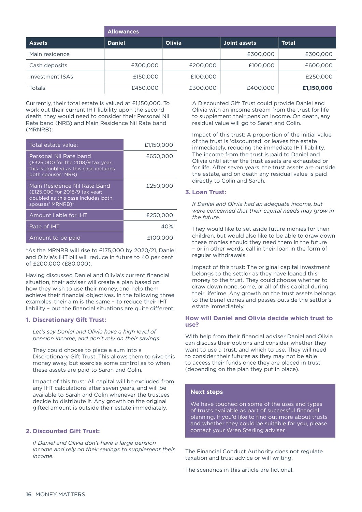|                 | <b>Allowances</b> |          |              |              |  |
|-----------------|-------------------|----------|--------------|--------------|--|
| <b>Assets</b>   | <b>Daniel</b>     | Olivia   | Joint assets | <b>Total</b> |  |
| Main residence  |                   |          | £300,000     | £300,000     |  |
| Cash deposits   | £300,000          | £200,000 | £100,000     | £600,000     |  |
| Investment ISAs | £150,000          | £100,000 |              | £250,000     |  |
| Totals          | £450,000          | £300,000 | £400,000     | £1,150,000   |  |

Currently, their total estate is valued at £1,150,000. To work out their current IHT liability upon the second death, they would need to consider their Personal Nil Rate band (NRB) and Main Residence Nil Rate band (MRNRB):

| Total estate value:                                                                                                         | £1,150,000 |
|-----------------------------------------------------------------------------------------------------------------------------|------------|
| Personal Nil Rate band<br>(£325,000 for the 2018/9 tax year;<br>this is doubled as this case includes<br>both spouses' NRB) | £650,000   |
| Main Residence Nil Rate Band<br>(£125,000 for 2018/9 tax year;<br>doubled as this case includes both<br>spouses' MRNRB)*    | £250,000   |
| Amount liable for IHT                                                                                                       | £250,000   |
| Rate of IHT                                                                                                                 | 40%        |
| Amount to be paid                                                                                                           | E100,000   |

\*As the MRNRB will rise to £175,000 by 2020/21, Daniel and Olivia's IHT bill will reduce in future to 40 per cent of £200,000 (£80,000).

Having discussed Daniel and Olivia's current financial situation, their adviser will create a plan based on how they wish to use their money, and help them achieve their financial objectives. In the following three examples, their aim is the same – to reduce their IHT liability – but the financial situations are quite different.

#### **1. Discretionary Gift Trust:**

*Let's say Daniel and Olivia have a high level of pension income, and don't rely on their savings.*

They could choose to place a sum into a Discretionary Gift Trust. This allows them to give this money away, but exercise some control as to when these assets are paid to Sarah and Colin.

Impact of this trust: All capital will be excluded from any IHT calculations after seven years, and will be available to Sarah and Colin whenever the trustees decide to distribute it. Any growth on the original gifted amount is outside their estate immediately.

#### **2. Discounted Gift Trust:**

*If Daniel and Olivia don't have a large pension income and rely on their savings to supplement their income.*

A Discounted Gift Trust could provide Daniel and Olivia with an income stream from the trust for life to supplement their pension income. On death, any residual value will go to Sarah and Colin.

Impact of this trust: A proportion of the initial value of the trust is 'discounted' or leaves the estate immediately, reducing the immediate IHT liability. The income from the trust is paid to Daniel and Olivia until either the trust assets are exhausted or for life. After seven years, the trust assets are outside the estate, and on death any residual value is paid directly to Colin and Sarah.

#### **3. Loan Trust:**

*If Daniel and Olivia had an adequate income, but were concerned that their capital needs may grow in the future.*

They would like to set aside future monies for their children, but would also like to be able to draw down these monies should they need them in the future – or in other words, call in their loan in the form of regular withdrawals.

Impact of this trust: The original capital investment belongs to the settlor as they have loaned this money to the trust. They could choose whether to draw down none, some, or all of this capital during their lifetime. Any growth on the trust assets belongs to the beneficiaries and passes outside the settlor's estate immediately.

#### **How will Daniel and Olivia decide which trust to use?**

With help from their financial adviser Daniel and Olivia can discuss their options and consider whether they want to use a trust, and which to use. They will need to consider their futures as they may not be able to access their funds once they are placed in trust (depending on the plan they put in place).

#### **Next steps**

We have touched on some of the uses and types of trusts available as part of successful financial planning. If you'd like to find out more about trusts and whether they could be suitable for you, please contact your Wren Sterling adviser.

The Financial Conduct Authority does not regulate taxation and trust advice or will writing.

The scenarios in this article are fictional.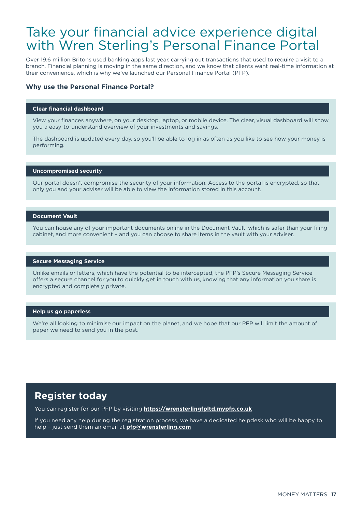### Take your financial advice experience digital with Wren Sterling's Personal Finance Portal

Over 19.6 million Britons used banking apps last year, carrying out transactions that used to require a visit to a branch. Financial planning is moving in the same direction, and we know that clients want real-time information at their convenience, which is why we've launched our Personal Finance Portal (PFP).

#### **Why use the Personal Finance Portal?**

#### **Clear financial dashboard**

View your finances anywhere, on your desktop, laptop, or mobile device. The clear, visual dashboard will show you a easy-to-understand overview of your investments and savings.

The dashboard is updated every day, so you'll be able to log in as often as you like to see how your money is performing.

#### **Uncompromised security**

Our portal doesn't compromise the security of your information. Access to the portal is encrypted, so that only you and your adviser will be able to view the information stored in this account.

#### **Document Vault**

You can house any of your important documents online in the Document Vault, which is safer than your filing cabinet, and more convenient – and you can choose to share items in the vault with your adviser.

#### **Secure Messaging Service**

Unlike emails or letters, which have the potential to be intercepted, the PFP's Secure Messaging Service offers a secure channel for you to quickly get in touch with us, knowing that any information you share is encrypted and completely private.

#### **Help us go paperless**

We're all looking to minimise our impact on the planet, and we hope that our PFP will limit the amount of paper we need to send you in the post.

#### **Register today**

You can register for our PFP by visiting **https://wrensterlingfpltd.mypfp.co.uk**

If you need any help during the registration process, we have a dedicated helpdesk who will be happy to help – just send them an email at **pfp@wrensterling.com**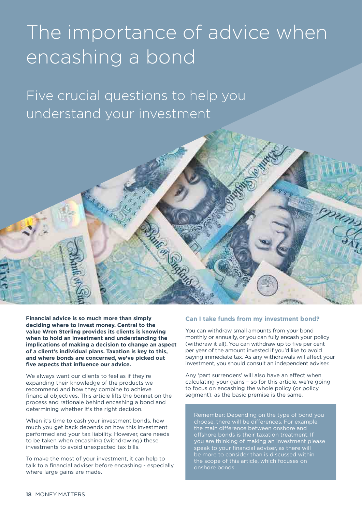# The importance of advice when encashing a bond

Five crucial questions to help you understand your investment



**Financial advice is so much more than simply deciding where to invest money. Central to the value Wren Sterling provides its clients is knowing when to hold an investment and understanding the implications of making a decision to change an aspect of a client's individual plans. Taxation is key to this, and where bonds are concerned, we've picked out five aspects that influence our advice.**

We always want our clients to feel as if they're expanding their knowledge of the products we recommend and how they combine to achieve financial objectives. This article lifts the bonnet on the process and rationale behind encashing a bond and determining whether it's the right decision.

When it's time to cash your investment bonds, how much you get back depends on how this investment performed and your tax liability. However, care needs to be taken when encashing (withdrawing) these investments to avoid unexpected tax bills.

To make the most of your investment, it can help to talk to a financial adviser before encashing - especially where large gains are made.

#### **Can I take funds from my investment bond?**

You can withdraw small amounts from your bond monthly or annually, or you can fully encash your policy (withdraw it all). You can withdraw up to five per cent per year of the amount invested if you'd like to avoid paying immediate tax. As any withdrawals will affect your investment, you should consult an independent adviser.

Any 'part surrenders' will also have an effect when calculating your gains – so for this article, we're going to focus on encashing the whole policy (or policy segment), as the basic premise is the same.

Remember: Depending on the type of bond you choose, there will be differences. For example, the main difference between onshore and offshore bonds is their taxation treatment. If you are thinking of making an investment please speak to your financial adviser, as there will be more to consider than is discussed within the scope of this article, which focuses on onshore bonds.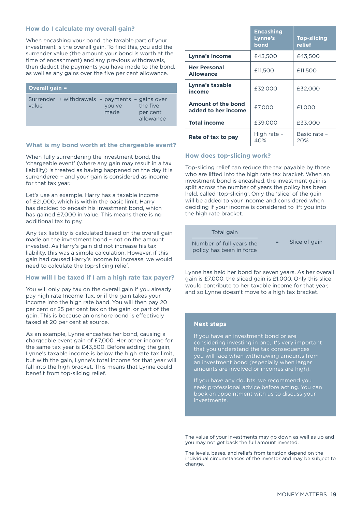#### **How do I calculate my overall gain?**

When encashing your bond, the taxable part of your investment is the overall gain. To find this, you add the surrender value (the amount your bond is worth at the time of encashment) and any previous withdrawals, then deduct the payments you have made to the bond, as well as any gains over the five per cent allowance.

| Overall gain =                                           |                |                                   |
|----------------------------------------------------------|----------------|-----------------------------------|
| Surrender + withdrawals - payments - gains over<br>value | you've<br>made | the five<br>per cent<br>allowance |

#### **What is my bond worth at the chargeable event?**

When fully surrendering the investment bond, the 'chargeable event' (where any gain may result in a tax liability) is treated as having happened on the day it is surrendered – and your gain is considered as income for that tax year.

Let's use an example. Harry has a taxable income of £21,000, which is within the basic limit. Harry has decided to encash his investment bond, which has gained £7,000 in value. This means there is no additional tax to pay.

Any tax liability is calculated based on the overall gain made on the investment bond – not on the amount invested. As Harry's gain did not increase his tax liability, this was a simple calculation. However, if this gain had caused Harry's income to increase, we would need to calculate the top-slicing relief.

#### **How will I be taxed if I am a high rate tax payer?**

You will only pay tax on the overall gain if you already pay high rate Income Tax, or if the gain takes your income into the high rate band. You will then pay 20 per cent or 25 per cent tax on the gain, or part of the gain. This is because an onshore bond is effectively taxed at 20 per cent at source.

As an example, Lynne encashes her bond, causing a chargeable event gain of £7,000. Her other income for the same tax year is £43,500. Before adding the gain, Lynne's taxable income is below the high rate tax limit, but with the gain, Lynne's total income for that year will fall into the high bracket. This means that Lynne could benefit from top-slicing relief.

|                                           | <b>Encashing</b><br>Lynne's<br>bond | <b>Top-slicing</b><br>relief |
|-------------------------------------------|-------------------------------------|------------------------------|
| Lynne's income                            | £43,500                             | £43,500                      |
| <b>Her Personal</b><br><b>Allowance</b>   | £11.500                             | £11,500                      |
| Lynne's taxable<br>income                 | £32,000                             | £32,000                      |
| Amount of the bond<br>added to her income | £7.000                              | £1.000                       |
| <b>Total income</b>                       | £39,000                             | £33,000                      |
| Rate of tax to pay                        | High rate -<br>40%                  | Basic rate -<br>20%          |

#### **How does top-slicing work?**

Top-slicing relief can reduce the tax payable by those who are lifted into the high rate tax bracket. When an investment bond is encashed, the investment gain is split across the number of years the policy has been held, called 'top-slicing'. Only the 'slice' of the gain will be added to your income and considered when deciding if your income is considered to lift you into the high rate bracket.

#### Total gain

Number of full years the policy has been in force

Slice of gain

Lynne has held her bond for seven years. As her overall gain is £7,000, the sliced gain is £1,000. Only this slice would contribute to her taxable income for that year, and so Lynne doesn't move to a high tax bracket.

#### **Next steps**

If you have an investment bond or are considering investing in one, it's very important that you understand the tax consequences you will face when withdrawing amounts from an investment bond (especially when larger amounts are involved or incomes are high).

If you have any doubts, we recommend you seek professional advice before acting. You can book an appointment with us to discuss your investments.

The value of your investments may go down as well as up and you may not get back the full amount invested.

The levels, bases, and reliefs from taxation depend on the individual circumstances of the investor and may be subject to change.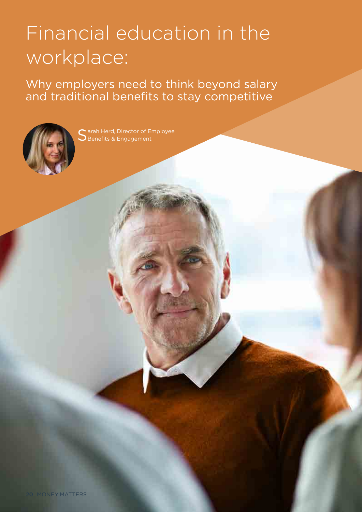# Financial education in the workplace:

Why employers need to think beyond salary and traditional benefits to stay competitive



Sarah Herd, Director of<br>Senefits & Engagemer Benefits & Engageme Employee Benefits & Engagement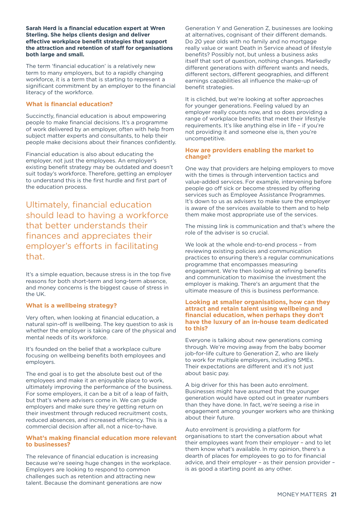#### **Sarah Herd is a financial education expert at Wren Sterling. She helps clients design and deliver effective workplace benefit strategies that support the attraction and retention of staff for organisations both large and small.**

The term 'financial education' is a relatively new term to many employers, but to a rapidly changing workforce, it is a term that is starting to represent a significant commitment by an employer to the financial literacy of the workforce.

#### **What is financial education?**

Succinctly, financial education is about empowering people to make financial decisions. It's a programme of work delivered by an employer, often with help from subject matter experts and consultants, to help their people make decisions about their finances confidently.

Financial education is also about educating the employer, not just the employees. An employer's existing benefit strategy may be outdated and doesn't suit today's workforce. Therefore, getting an employer to understand this is the first hurdle and first part of the education process.

Ultimately, financial education should lead to having a workforce that better understands their finances and appreciates their employer's efforts in facilitating that.

It's a simple equation, because stress is in the top five reasons for both short-term and long-term absence, and money concerns is the biggest cause of stress in the UK.

#### **What is a wellbeing strategy?**

Very often, when looking at financial education, a natural spin-off is wellbeing. The key question to ask is whether the employer is taking care of the physical and mental needs of its workforce

It's founded on the belief that a workplace culture focusing on wellbeing benefits both employees and employers.

The end goal is to get the absolute best out of the employees and make it an enjoyable place to work, ultimately improving the performance of the business. For some employers, it can be a bit of a leap of faith, but that's where advisers come in. We can guide employers and make sure they're getting return on their investment through reduced recruitment costs, reduced absences, and increased efficiency. This is a commercial decision after all, not a nice-to-have.

#### **What's making financial education more relevant to businesses?**

The relevance of financial education is increasing because we're seeing huge changes in the workplace. Employers are looking to respond to common challenges such as retention and attracting new talent. Because the dominant generations are now

Generation Y and Generation Z, businesses are looking at alternatives, cognisant of their different demands. Do 20 year olds with no family and no mortgage really value or want Death in Service ahead of lifestyle benefits? Possibly not, but unless a business asks itself that sort of question, nothing changes. Markedly different generations with different wants and needs, different sectors, different geographies, and different earnings capabilities all influence the make-up of benefit strategies.

It is clichéd, but we're looking at softer approaches for younger generations. Feeling valued by an employer really counts now, and so does providing a range of workplace benefits that meet their lifestyle requirements. It's like anything else in life – if you're not providing it and someone else is, then you're uncompetitive.

#### **How are providers enabling the market to change?**

One way that providers are helping employers to move with the times is through intervention tactics and value-added services. For example, intervening before people go off sick or become stressed by offering services such as Employee Assistance Programmes. It's down to us as advisers to make sure the employer is aware of the services available to them and to help them make most appropriate use of the services.

The missing link is communication and that's where the role of the adviser is so crucial.

We look at the whole end-to-end process – from reviewing existing policies and communication practices to ensuring there's a regular communications programme that encompasses measuring engagement. We're then looking at refining benefits and communication to maximise the investment the employer is making. There's an argument that the ultimate measure of this is business performance.

#### **Looking at smaller organisations, how can they attract and retain talent using wellbeing and financial education, when perhaps they don't have the luxury of an in-house team dedicated to this?**

Everyone is talking about new generations coming through. We're moving away from the baby boomer job-for-life culture to Generation Z, who are likely to work for multiple employers, including SMEs. Their expectations are different and it's not just about basic pay.

A big driver for this has been auto enrolment. Businesses might have assumed that the younger generation would have opted out in greater numbers than they have done. In fact, we're seeing a rise in engagement among younger workers who are thinking about their future.

Auto enrolment is providing a platform for organisations to start the conversation about what their employees want from their employer – and to let them know what's available. In my opinion, there's a dearth of places for employees to go to for financial advice, and their employer – as their pension provider – is as good a starting point as any other.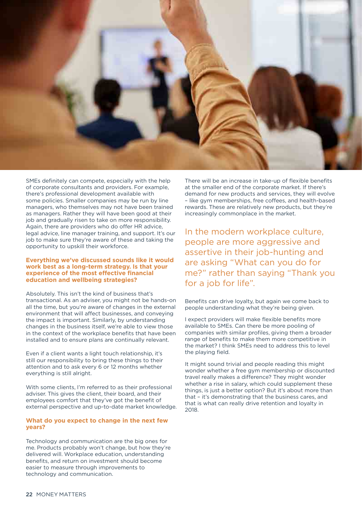

SMEs definitely can compete, especially with the help of corporate consultants and providers. For example, there's professional development available with some policies. Smaller companies may be run by line managers, who themselves may not have been trained as managers. Rather they will have been good at their job and gradually risen to take on more responsibility. Again, there are providers who do offer HR advice, legal advice, line manager training, and support. It's our job to make sure they're aware of these and taking the opportunity to upskill their workforce.

#### **Everything we've discussed sounds like it would work best as a long-term strategy. Is that your experience of the most effective financial education and wellbeing strategies?**

Absolutely. This isn't the kind of business that's transactional. As an adviser, you might not be hands-on all the time, but you're aware of changes in the external environment that will affect businesses, and conveying the impact is important. Similarly, by understanding changes in the business itself, we're able to view those in the context of the workplace benefits that have been installed and to ensure plans are continually relevant.

Even if a client wants a light touch relationship, it's still our responsibility to bring these things to their attention and to ask every 6 or 12 months whether everything is still alright.

With some clients, I'm referred to as their professional adviser. This gives the client, their board, and their employees comfort that they've got the benefit of external perspective and up-to-date market knowledge.

#### **What do you expect to change in the next few years?**

Technology and communication are the big ones for me. Products probably won't change, but how they're delivered will. Workplace education, understanding benefits, and return on investment should become easier to measure through improvements to technology and communication.

There will be an increase in take-up of flexible benefits at the smaller end of the corporate market. If there's demand for new products and services, they will evolve – like gym memberships, free coffees, and health-based rewards. These are relatively new products, but they're increasingly commonplace in the market.

In the modern workplace culture, people are more aggressive and assertive in their job-hunting and are asking "What can you do for me?" rather than saying "Thank you for a job for life".

Benefits can drive loyalty, but again we come back to people understanding what they're being given.

I expect providers will make flexible benefits more available to SMEs. Can there be more pooling of companies with similar profiles, giving them a broader range of benefits to make them more competitive in the market? I think SMEs need to address this to level the playing field.

It might sound trivial and people reading this might wonder whether a free gym membership or discounted travel really makes a difference? They might wonder whether a rise in salary, which could supplement these things, is just a better option? But it's about more than that – it's demonstrating that the business cares, and that is what can really drive retention and loyalty in 2018.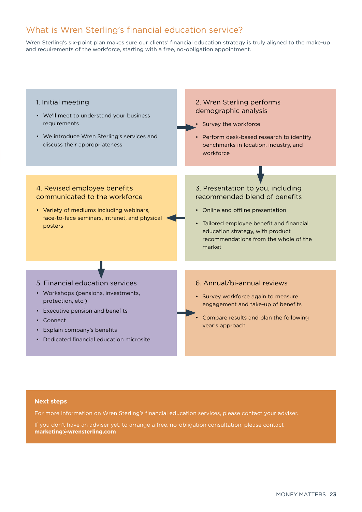#### What is Wren Sterling's financial education service?

Wren Sterling's six-point plan makes sure our clients' financial education strategy is truly aligned to the make-up and requirements of the workforce, starting with a free, no-obligation appointment.



#### **Next steps**

For more information on Wren Sterling's financial education services, please contact your adviser.

If you don't have an adviser yet, to arrange a free, no-obligation consultation, please contact **marketing@wrensterling.com**